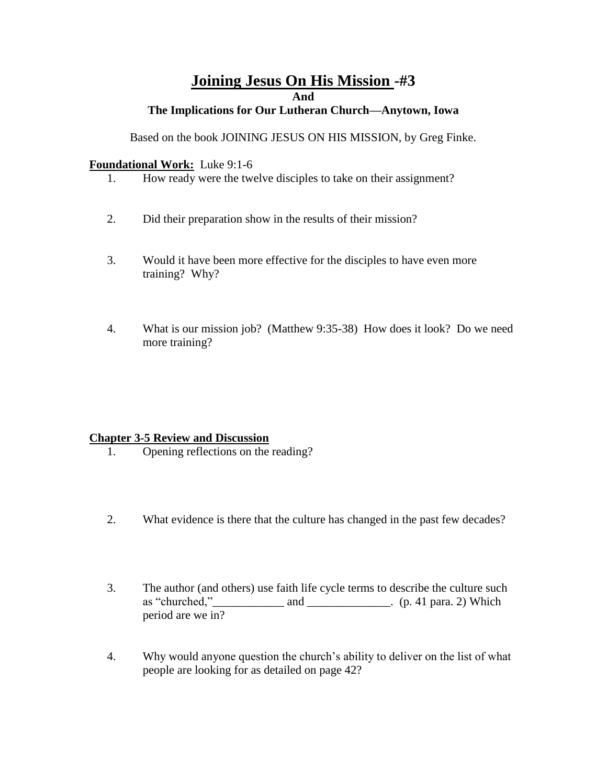# **Joining Jesus On His Mission -#3 And**

## **The Implications for Our Lutheran Church—Anytown, Iowa**

Based on the book JOINING JESUS ON HIS MISSION, by Greg Finke.

#### **Foundational Work:** Luke 9:1-6

- 1. How ready were the twelve disciples to take on their assignment?
- 2. Did their preparation show in the results of their mission?
- 3. Would it have been more effective for the disciples to have even more training? Why?
- 4. What is our mission job? (Matthew 9:35-38) How does it look? Do we need more training?

## **Chapter 3-5 Review and Discussion**

- 1. Opening reflections on the reading?
- 2. What evidence is there that the culture has changed in the past few decades?
- 3. The author (and others) use faith life cycle terms to describe the culture such as "churched," $\qquad \qquad$  and  $\qquad \qquad$  (p. 41 para. 2) Which period are we in?
- 4. Why would anyone question the church's ability to deliver on the list of what people are looking for as detailed on page 42?